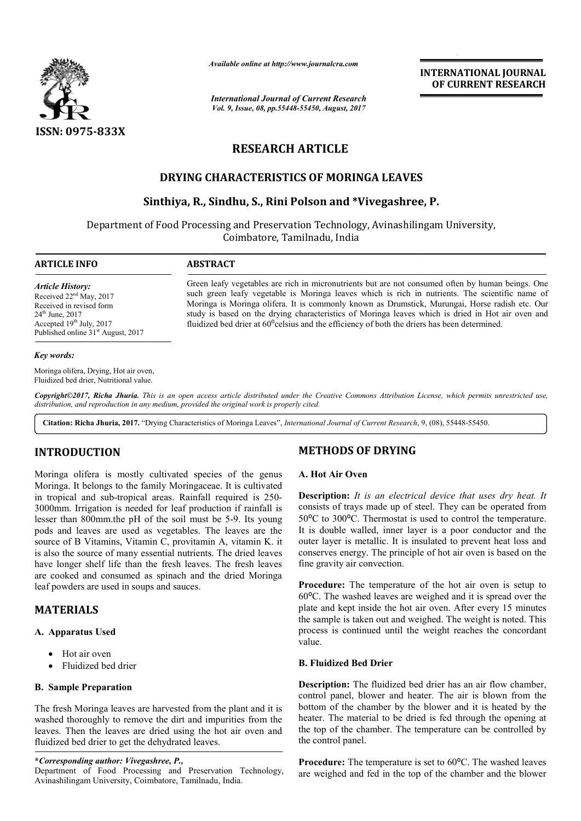

*Available online at http://www.journal http://www.journalcra.com*

*International Journal of Current Research Vol. 9, Issue, 08, pp.55448-55450, August, 2017* **INTERNATIONAL JOURNAL OF CURRENT RESEARCH** 

# **RESEARCH ARTICLE**

# **DRYING CHARACTERISTICS OF MORINGA LEAVES**

# **Sinthiya, R., Sindhu, S., Rini Polson and \*Vivegashree, P. CHARACTERISTICS OF Vivegashree,**

Department of Food Processing and Preservation Technology, Avinashilingam University, Coimbatore, Tamilnadu, India

# **ARTICLE INFO ABSTRACT**

*Article History:* Received 22<sup>nd</sup> May, 2017 Received in revised form 24th June, 2017 Accepted  $19<sup>th</sup>$  July, 2017 Published online 31<sup>st</sup> August, 2017

Green leafy vegetables are rich in micronutrients but are not consumed often by human beings. One such green leafy vegetable is Moringa leaves which is rich in nutrients. The scientific name of Moring Moringa is Moringa olifera. It is commonly known as Drumstick, Murungai, Horse radish etc. Our study is based on the drying characteristics of Moringa leaves which is dried in Hot air oven and fluidized bed drier at  $60^{\circ}$ celsius and the efficiency of both the drie such green leafy vegetable is Moringa leaves which is rich in nutrients. The scientific name Moringa is Moringa olifera. It is commonly known as Drumstick, Murungai, Horse radish etc. study is based on the drying character

#### *Key words:*

Moringa olifera, Drying, Hot air oven, Fluidized bed drier, Nutritional value.

Copyright©2017, Richa Jhuria. This is an open access article distributed under the Creative Commons Attribution License, which permits unrestricted use, *distribution, and reproduction in any medium, provided the original work is properly cited.*

Citation: Richa Jhuria, 2017. "Drying Characteristics of Moringa Leaves", International Journal of Current Research, 9, (08), 55448-55450.

# **INTRODUCTION**

Moringa olifera is mostly cultivated species of the genus Moringa. It belongs to the family Moringaceae. It is cultivated in tropical and sub-tropical areas. Rainfall required is 250-3000mm. Irrigation is needed for leaf production if rainfall is 3000mm. Irrigation is needed for leaf production if rainfall is lesser than 800mm.the pH of the soil must be 5-9. Its young pods and leaves are used as vegetables. The leaves are the source of B Vitamins, Vitamin C, provitamin A, vitamin K. it is also the source of many essential nutrients. The dried leaves have longer shelf life than the fresh leaves. The fresh leaves are cooked and consumed as spinach and the dried Moringa leaf powders are used in soups and sauces.

# **MATERIALS**

## **A. Apparatus Used**

- Hot air oven
- Fluidized bed drier

# **B. Sample Preparation**

The fresh Moringa leaves are harvested from the plant and it is washed thoroughly to remove the dirt and impurities from the leaves. Then the leaves are dried using the hot air oven and fluidized bed drier to get the dehydrated leaves. I nutrients. The dr<br>sh leaves. The fri<br>aach and the driec<br>sauces.<br>Sauces.<br>Sauces.<br>Sauces and interpretive using the hot air<br>and Preservation 1<br>P., md Preservation 1<br>e, Tamilnadu, India.

**\****Corresponding author: Vivegashree, P.,*

# **METHODS OF DRYING**

# **A. Hot Air Oven**

**Description:** It is an electrical device that uses dry heat. It consists of trays made up of steel. They can be operated from 50<sup>o</sup>C to 300<sup>o</sup>C. Thermostat is used to control the temperature. It is double walled, inner layer is a poor conductor and the outer layer is metallic. It is insulated to prevent heat loss and conserves energy. The principle of hot air oven is based on the fine gravity air convection. massts of trays made up of steel. They can be operated from  ${}^{10}$ C to 300<sup>o</sup>C. Thermostat is used to control the temperature. is double walled, inner layer is a poor conductor and the terre layer is metallic. It is insu **INTERNATIONAL JOURNAL**<br> **INTERNATIONAL JOURNAL**<br> **IOF CURRENT RESEARCH**<br> **IOF CURRENT RESEARCH**<br> **IOF CURRENT RESEARCH**<br> **EVIVEGIBATION CONTRENT RESEARCH**<br> **EVIVEGIBATION**<br> **EVIVEGIBATION**<br> **IOF CURRENT RESEARCH**<br> **IOF C** 

**Procedure:** The temperature of the hot air oven is setup to 60⁰C. The washed leaves are weighed and it is spread over the plate and kept inside the hot air oven. After every 15 minutes the sample is taken out and weighed. The weight is noted. This process is continued until the weight reaches the concordant value.

# **B. Fluidized Bed Drier**

**Description:** The fluidized bed drier has an air flow chamber, control panel, blower and heater. The air is blown from the bottom of the chamber by the blower and it is heated by the heater. The material to be dried is fed through the opening at the top of the chamber. The temperature can be controlled by the control panel. s taken out and weighed. The weight is noted. This<br>ontinued until the weight reaches the concordant<br>**1 Bed Drier**<br>**2.** The fluidized bed drier has an air flow chamber,<br> $|e|$ , blower and heater. The air is blown from the<br>ne

**Procedure:** The temperature is set to 60°C. The washed leaves are weighed and fed in the top of the chamber and the blower

Department of Food Processing and Preservation Technology, Avinashilingam University, Coimbatore, Tamilnadu, India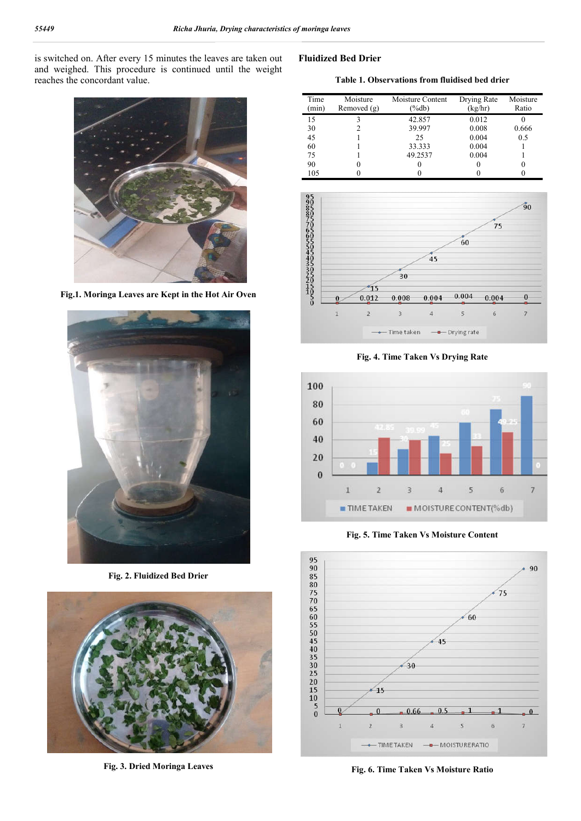is switched on. After every 15 minutes the leaves are taken out and weighed. This procedure is continued until the weight reaches the concordant value.

# **Fluidized Bed Drier**

**Table 1. Observations from fluidised bed drier**



**Fig.1. Moringa Leaves are Kept in the Hot Air Oven**



**Fig. 2. Fluidized Bed Drier**



**Fig. 3. Dried Moringa Leaves**

| Time<br>(min) | Moisture<br>Removed $(g)$ | Moisture Content<br>(%db) | Drying Rate<br>(kg/hr) | Moisture<br>Ratio |
|---------------|---------------------------|---------------------------|------------------------|-------------------|
| 15            |                           | 42.857                    | 0.012                  |                   |
| 30            |                           | 39.997                    | 0.008                  | 0.666             |
| 45            |                           | 25                        | 0.004                  | 0.5               |
| 60            |                           | 33.333                    | 0.004                  |                   |
| 75            |                           | 49.2537                   | 0.004                  |                   |
| 90            |                           |                           |                        |                   |
| 105           |                           |                           |                        |                   |



**Fig. 4. Time Taken Vs Drying Rate**



**Fig. 5. Time Taken Vs Moisture Content**



**Fig. 6. Time Taken Vs Moisture Ratio**